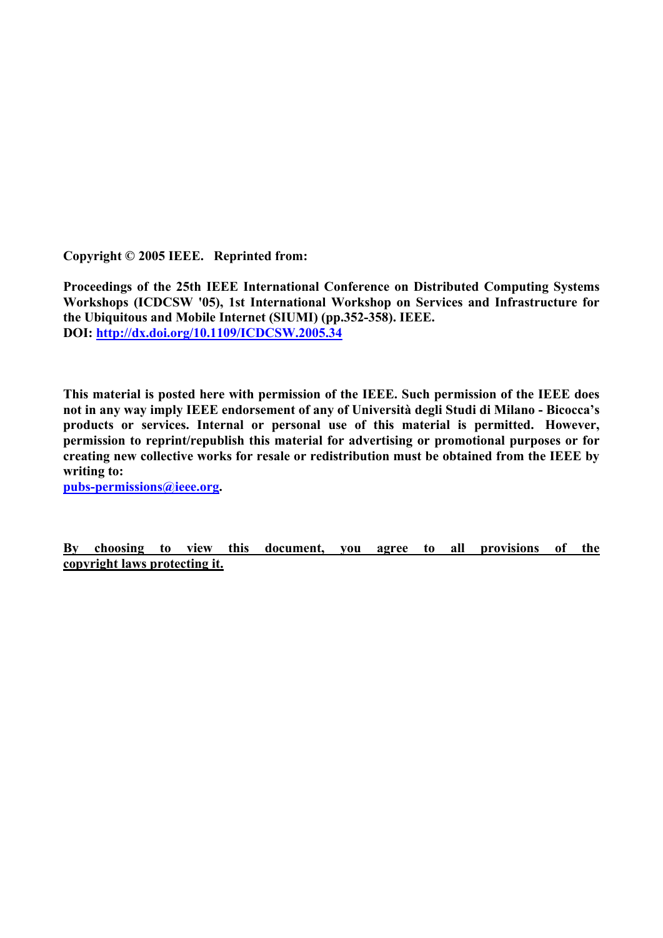**Copyright © 2005 IEEE. Reprinted from:** 

**Proceedings of the 25th IEEE International Conference on Distributed Computing Systems Workshops (ICDCSW '05), 1st International Workshop on Services and Infrastructure for the Ubiquitous and Mobile Internet (SIUMI) (pp.352-358). IEEE. DOI:<http://dx.doi.org/10.1109/ICDCSW.2005.34>**

**This material is posted here with permission of the IEEE. Such permission of the IEEE does not in any way imply IEEE endorsement of any of Università degli Studi di Milano - Bicocca's products or services. Internal or personal use of this material is permitted. However, permission to reprint/republish this material for advertising or promotional purposes or for creating new collective works for resale or redistribution must be obtained from the IEEE by writing to:** 

**[pubs-permissions@ieee.org.](mailto:pubs-permissions@ieee.org)** 

**By choosing to view this document, you agree to all provisions of the copyright laws protecting it.**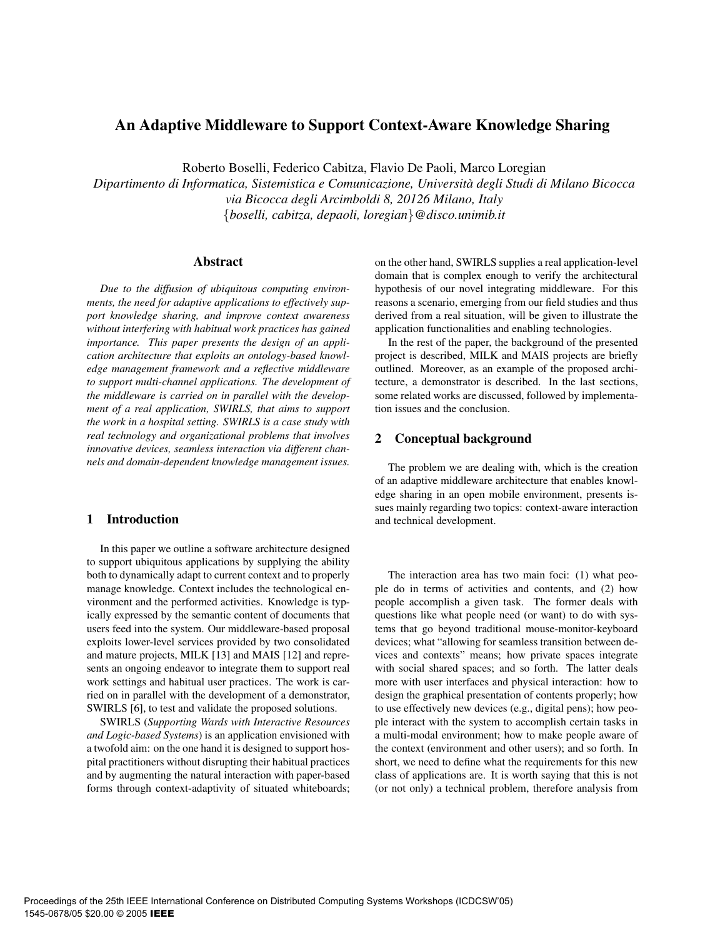# **An Adaptive Middleware to Support Context-Aware Knowledge Sharing**

Roberto Boselli, Federico Cabitza, Flavio De Paoli, Marco Loregian

*Dipartimento di Informatica, Sistemistica e Comunicazione, Universita degli Studi di Milano Bicocca ` via Bicocca degli Arcimboldi 8, 20126 Milano, Italy* {*boselli, cabitza, depaoli, loregian*}*@disco.unimib.it*

# **Abstract**

*Due to the diffusion of ubiquitous computing environments, the need for adaptive applications to effectively support knowledge sharing, and improve context awareness without interfering with habitual work practices has gained importance. This paper presents the design of an application architecture that exploits an ontology-based knowledge management framework and a reflective middleware to support multi-channel applications. The development of the middleware is carried on in parallel with the development of a real application, SWIRLS, that aims to support the work in a hospital setting. SWIRLS is a case study with real technology and organizational problems that involves innovative devices, seamless interaction via different channels and domain-dependent knowledge management issues.*

#### **1 Introduction**

In this paper we outline a software architecture designed to support ubiquitous applications by supplying the ability both to dynamically adapt to current context and to properly manage knowledge. Context includes the technological environment and the performed activities. Knowledge is typically expressed by the semantic content of documents that users feed into the system. Our middleware-based proposal exploits lower-level services provided by two consolidated and mature projects, MILK [13] and MAIS [12] and represents an ongoing endeavor to integrate them to support real work settings and habitual user practices. The work is carried on in parallel with the development of a demonstrator, SWIRLS [6], to test and validate the proposed solutions.

SWIRLS (*Supporting Wards with Interactive Resources and Logic-based Systems*) is an application envisioned with a twofold aim: on the one hand it is designed to support hospital practitioners without disrupting their habitual practices and by augmenting the natural interaction with paper-based forms through context-adaptivity of situated whiteboards; on the other hand, SWIRLS supplies a real application-level domain that is complex enough to verify the architectural hypothesis of our novel integrating middleware. For this reasons a scenario, emerging from our field studies and thus derived from a real situation, will be given to illustrate the application functionalities and enabling technologies.

In the rest of the paper, the background of the presented project is described, MILK and MAIS projects are briefly outlined. Moreover, as an example of the proposed architecture, a demonstrator is described. In the last sections, some related works are discussed, followed by implementation issues and the conclusion.

## **2 Conceptual background**

The problem we are dealing with, which is the creation of an adaptive middleware architecture that enables knowledge sharing in an open mobile environment, presents issues mainly regarding two topics: context-aware interaction and technical development.

The interaction area has two main foci: (1) what people do in terms of activities and contents, and (2) how people accomplish a given task. The former deals with questions like what people need (or want) to do with systems that go beyond traditional mouse-monitor-keyboard devices; what "allowing for seamless transition between devices and contexts" means; how private spaces integrate with social shared spaces; and so forth. The latter deals more with user interfaces and physical interaction: how to design the graphical presentation of contents properly; how to use effectively new devices (e.g., digital pens); how people interact with the system to accomplish certain tasks in a multi-modal environment; how to make people aware of the context (environment and other users); and so forth. In short, we need to define what the requirements for this new class of applications are. It is worth saying that this is not (or not only) a technical problem, therefore analysis from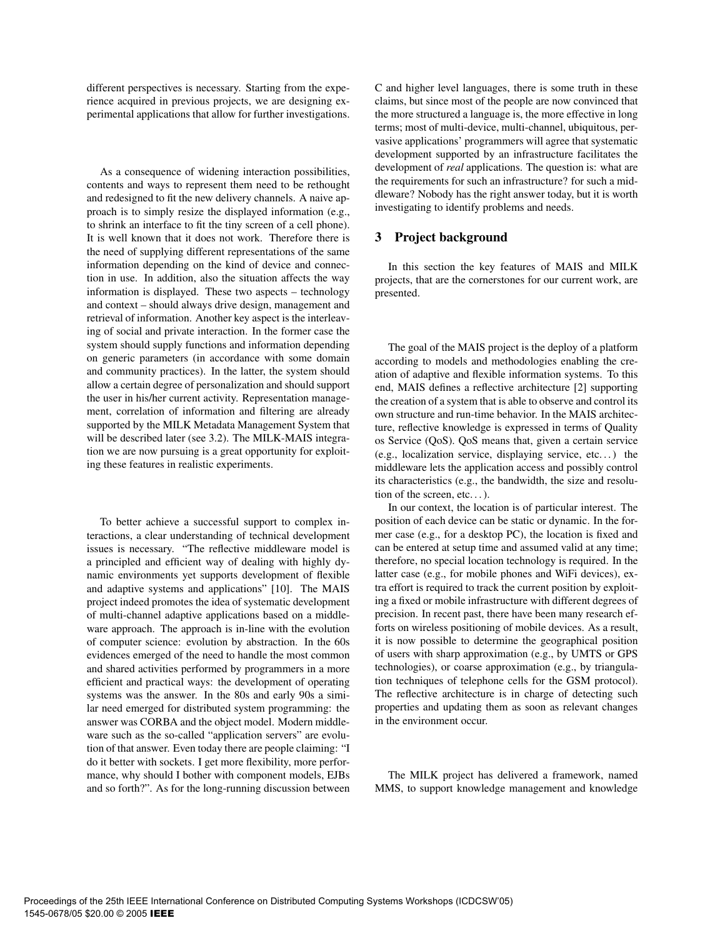different perspectives is necessary. Starting from the experience acquired in previous projects, we are designing experimental applications that allow for further investigations.

As a consequence of widening interaction possibilities, contents and ways to represent them need to be rethought and redesigned to fit the new delivery channels. A naive approach is to simply resize the displayed information (e.g., to shrink an interface to fit the tiny screen of a cell phone). It is well known that it does not work. Therefore there is the need of supplying different representations of the same information depending on the kind of device and connection in use. In addition, also the situation affects the way information is displayed. These two aspects – technology and context – should always drive design, management and retrieval of information. Another key aspect is the interleaving of social and private interaction. In the former case the system should supply functions and information depending on generic parameters (in accordance with some domain and community practices). In the latter, the system should allow a certain degree of personalization and should support the user in his/her current activity. Representation management, correlation of information and filtering are already supported by the MILK Metadata Management System that will be described later (see 3.2). The MILK-MAIS integration we are now pursuing is a great opportunity for exploiting these features in realistic experiments.

To better achieve a successful support to complex interactions, a clear understanding of technical development issues is necessary. "The reflective middleware model is a principled and efficient way of dealing with highly dynamic environments yet supports development of flexible and adaptive systems and applications" [10]. The MAIS project indeed promotes the idea of systematic development of multi-channel adaptive applications based on a middleware approach. The approach is in-line with the evolution of computer science: evolution by abstraction. In the 60s evidences emerged of the need to handle the most common and shared activities performed by programmers in a more efficient and practical ways: the development of operating systems was the answer. In the 80s and early 90s a similar need emerged for distributed system programming: the answer was CORBA and the object model. Modern middleware such as the so-called "application servers" are evolution of that answer. Even today there are people claiming: "I do it better with sockets. I get more flexibility, more performance, why should I bother with component models, EJBs and so forth?". As for the long-running discussion between C and higher level languages, there is some truth in these claims, but since most of the people are now convinced that the more structured a language is, the more effective in long terms; most of multi-device, multi-channel, ubiquitous, pervasive applications' programmers will agree that systematic development supported by an infrastructure facilitates the development of *real* applications. The question is: what are the requirements for such an infrastructure? for such a middleware? Nobody has the right answer today, but it is worth investigating to identify problems and needs.

## **3 Project background**

In this section the key features of MAIS and MILK projects, that are the cornerstones for our current work, are presented.

The goal of the MAIS project is the deploy of a platform according to models and methodologies enabling the creation of adaptive and flexible information systems. To this end, MAIS defines a reflective architecture [2] supporting the creation of a system that is able to observe and control its own structure and run-time behavior. In the MAIS architecture, reflective knowledge is expressed in terms of Quality os Service (QoS). QoS means that, given a certain service (e.g., localization service, displaying service, etc. . . ) the middleware lets the application access and possibly control its characteristics (e.g., the bandwidth, the size and resolution of the screen, etc. . . ).

In our context, the location is of particular interest. The position of each device can be static or dynamic. In the former case (e.g., for a desktop PC), the location is fixed and can be entered at setup time and assumed valid at any time; therefore, no special location technology is required. In the latter case (e.g., for mobile phones and WiFi devices), extra effort is required to track the current position by exploiting a fixed or mobile infrastructure with different degrees of precision. In recent past, there have been many research efforts on wireless positioning of mobile devices. As a result, it is now possible to determine the geographical position of users with sharp approximation (e.g., by UMTS or GPS technologies), or coarse approximation (e.g., by triangulation techniques of telephone cells for the GSM protocol). The reflective architecture is in charge of detecting such properties and updating them as soon as relevant changes in the environment occur.

The MILK project has delivered a framework, named MMS, to support knowledge management and knowledge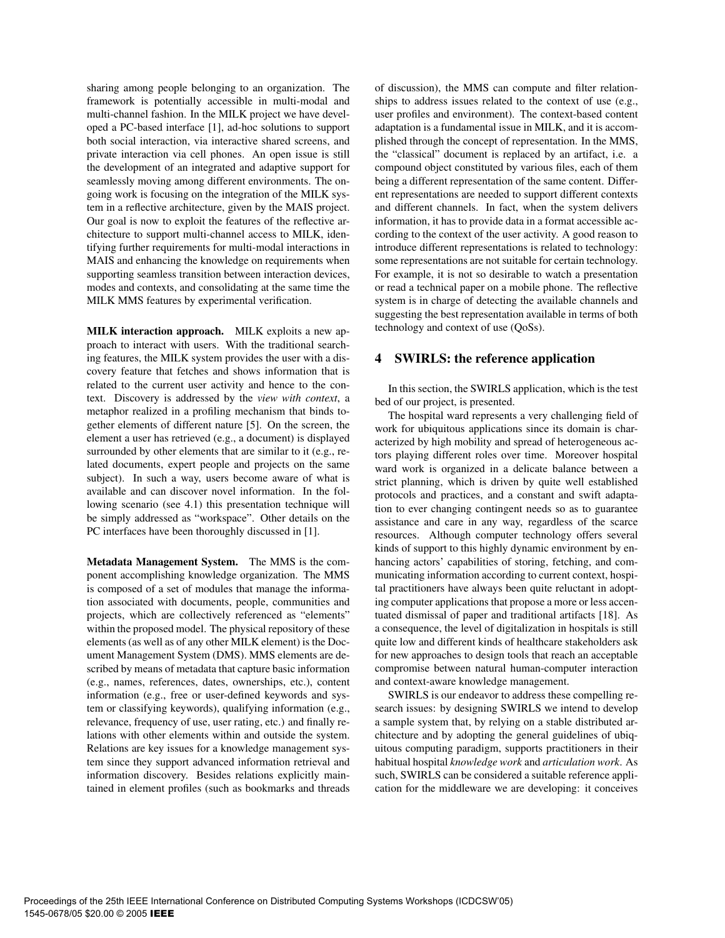sharing among people belonging to an organization. The framework is potentially accessible in multi-modal and multi-channel fashion. In the MILK project we have developed a PC-based interface [1], ad-hoc solutions to support both social interaction, via interactive shared screens, and private interaction via cell phones. An open issue is still the development of an integrated and adaptive support for seamlessly moving among different environments. The ongoing work is focusing on the integration of the MILK system in a reflective architecture, given by the MAIS project. Our goal is now to exploit the features of the reflective architecture to support multi-channel access to MILK, identifying further requirements for multi-modal interactions in MAIS and enhancing the knowledge on requirements when supporting seamless transition between interaction devices, modes and contexts, and consolidating at the same time the MILK MMS features by experimental verification.

**MILK interaction approach.** MILK exploits a new approach to interact with users. With the traditional searching features, the MILK system provides the user with a discovery feature that fetches and shows information that is related to the current user activity and hence to the context. Discovery is addressed by the *view with context*, a metaphor realized in a profiling mechanism that binds together elements of different nature [5]. On the screen, the element a user has retrieved (e.g., a document) is displayed surrounded by other elements that are similar to it (e.g., related documents, expert people and projects on the same subject). In such a way, users become aware of what is available and can discover novel information. In the following scenario (see 4.1) this presentation technique will be simply addressed as "workspace". Other details on the PC interfaces have been thoroughly discussed in [1].

**Metadata Management System.** The MMS is the component accomplishing knowledge organization. The MMS is composed of a set of modules that manage the information associated with documents, people, communities and projects, which are collectively referenced as "elements" within the proposed model. The physical repository of these elements (as well as of any other MILK element) is the Document Management System (DMS). MMS elements are described by means of metadata that capture basic information (e.g., names, references, dates, ownerships, etc.), content information (e.g., free or user-defined keywords and system or classifying keywords), qualifying information (e.g., relevance, frequency of use, user rating, etc.) and finally relations with other elements within and outside the system. Relations are key issues for a knowledge management system since they support advanced information retrieval and information discovery. Besides relations explicitly maintained in element profiles (such as bookmarks and threads of discussion), the MMS can compute and filter relationships to address issues related to the context of use (e.g., user profiles and environment). The context-based content adaptation is a fundamental issue in MILK, and it is accomplished through the concept of representation. In the MMS, the "classical" document is replaced by an artifact, i.e. a compound object constituted by various files, each of them being a different representation of the same content. Different representations are needed to support different contexts and different channels. In fact, when the system delivers information, it has to provide data in a format accessible according to the context of the user activity. A good reason to introduce different representations is related to technology: some representations are not suitable for certain technology. For example, it is not so desirable to watch a presentation or read a technical paper on a mobile phone. The reflective system is in charge of detecting the available channels and suggesting the best representation available in terms of both technology and context of use (QoSs).

## **4 SWIRLS: the reference application**

In this section, the SWIRLS application, which is the test bed of our project, is presented.

The hospital ward represents a very challenging field of work for ubiquitous applications since its domain is characterized by high mobility and spread of heterogeneous actors playing different roles over time. Moreover hospital ward work is organized in a delicate balance between a strict planning, which is driven by quite well established protocols and practices, and a constant and swift adaptation to ever changing contingent needs so as to guarantee assistance and care in any way, regardless of the scarce resources. Although computer technology offers several kinds of support to this highly dynamic environment by enhancing actors' capabilities of storing, fetching, and communicating information according to current context, hospital practitioners have always been quite reluctant in adopting computer applications that propose a more or less accentuated dismissal of paper and traditional artifacts [18]. As a consequence, the level of digitalization in hospitals is still quite low and different kinds of healthcare stakeholders ask for new approaches to design tools that reach an acceptable compromise between natural human-computer interaction and context-aware knowledge management.

SWIRLS is our endeavor to address these compelling research issues: by designing SWIRLS we intend to develop a sample system that, by relying on a stable distributed architecture and by adopting the general guidelines of ubiquitous computing paradigm, supports practitioners in their habitual hospital *knowledge work* and *articulation work*. As such, SWIRLS can be considered a suitable reference application for the middleware we are developing: it conceives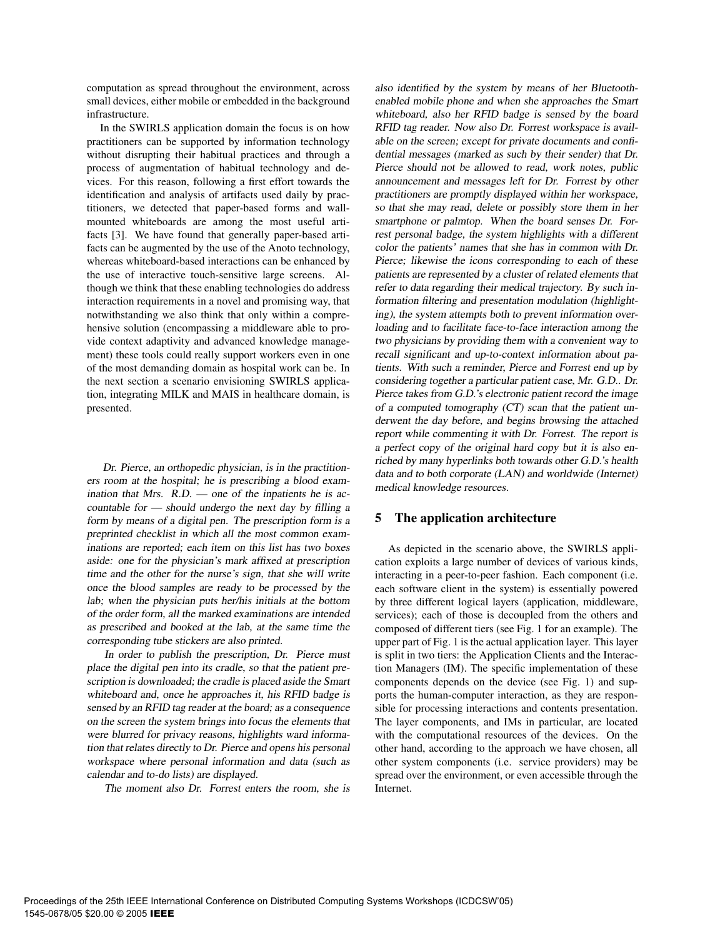computation as spread throughout the environment, across small devices, either mobile or embedded in the background infrastructure.

In the SWIRLS application domain the focus is on how practitioners can be supported by information technology without disrupting their habitual practices and through a process of augmentation of habitual technology and devices. For this reason, following a first effort towards the identification and analysis of artifacts used daily by practitioners, we detected that paper-based forms and wallmounted whiteboards are among the most useful artifacts [3]. We have found that generally paper-based artifacts can be augmented by the use of the Anoto technology, whereas whiteboard-based interactions can be enhanced by the use of interactive touch-sensitive large screens. Although we think that these enabling technologies do address interaction requirements in a novel and promising way, that notwithstanding we also think that only within a comprehensive solution (encompassing a middleware able to provide context adaptivity and advanced knowledge management) these tools could really support workers even in one of the most demanding domain as hospital work can be. In the next section a scenario envisioning SWIRLS application, integrating MILK and MAIS in healthcare domain, is presented.

Dr. Pierce, an orthopedic physician, is in the practitioners room at the hospital; he is prescribing <sup>a</sup> blood examination that Mrs.  $R.D.$  — one of the inpatients he is accountable for — should undergo the next day by filling <sup>a</sup> form by means of <sup>a</sup> digital pen. The prescription form is <sup>a</sup> preprinted checklist in which all the most common examinations are reported; each item on this list has two boxes aside: one for the physician's mark affixed at prescription time and the other for the nurse's sign, that she will write once the blood samples are ready to be processed by the lab; when the physician puts her/his initials at the bottom of the order form, all the marked examinations are intended as prescribed and booked at the lab, at the same time the corresponding tube stickers are also printed.

In order to publish the prescription, Dr. Pierce must place the digital pen into its cradle, so that the patient prescription is downloaded; the cradle is placed aside the Smart whiteboard and, once he approaches it, his RFID badge is sensed by an RFID tag reader at the board; as <sup>a</sup> consequence on the screen the system brings into focus the elements that were blurred for privacy reasons, highlights ward information that relates directly to Dr. Pierce and opens his personal workspace where personal information and data (such as calendar and to-do lists) are displayed.

The moment also Dr. Forrest enters the room, she is

also identified by the system by means of her Bluetoothenabled mobile phone and when she approaches the Smart whiteboard, also her RFID badge is sensed by the board RFID tag reader. Now also Dr. Forrest workspace is available on the screen; except for private documents and confidential messages (marked as such by their sender) that Dr. Pierce should not be allowed to read, work notes, public announcement and messages left for Dr. Forrest by other practitioners are promptly displayed within her workspace, so that she may read, delete or possibly store them in her smartphone or palmtop. When the board senses Dr. Forrest personal badge, the system highlights with <sup>a</sup> different color the patients' names that she has in common with Dr. Pierce; likewise the icons corresponding to each of these patients are represented by <sup>a</sup> cluster of related elements that refer to data regarding their medical trajectory. By such information filtering and presentation modulation (highlighting), the system attempts both to prevent information overloading and to facilitate face-to-face interaction among the two physicians by providing them with <sup>a</sup> convenient way to recall significant and up-to-context information about patients. With such <sup>a</sup> reminder, Pierce and Forrest end up by considering together <sup>a</sup> particular patient case, Mr. G.D.. Dr. Pierce takes from G.D.'s electronic patient record the image of <sup>a</sup> computed tomography (CT) scan that the patient underwent the day before, and begins browsing the attached report while commenting it with Dr. Forrest. The report is <sup>a</sup> perfect copy of the original hard copy but it is also enriched by many hyperlinks both towards other G.D.'s health data and to both corporate (LAN) and worldwide (Internet) medical knowledge resources.

## **5 The application architecture**

As depicted in the scenario above, the SWIRLS application exploits a large number of devices of various kinds, interacting in a peer-to-peer fashion. Each component (i.e. each software client in the system) is essentially powered by three different logical layers (application, middleware, services); each of those is decoupled from the others and composed of different tiers (see Fig. 1 for an example). The upper part of Fig. 1 is the actual application layer. This layer is split in two tiers: the Application Clients and the Interaction Managers (IM). The specific implementation of these components depends on the device (see Fig. 1) and supports the human-computer interaction, as they are responsible for processing interactions and contents presentation. The layer components, and IMs in particular, are located with the computational resources of the devices. On the other hand, according to the approach we have chosen, all other system components (i.e. service providers) may be spread over the environment, or even accessible through the Internet.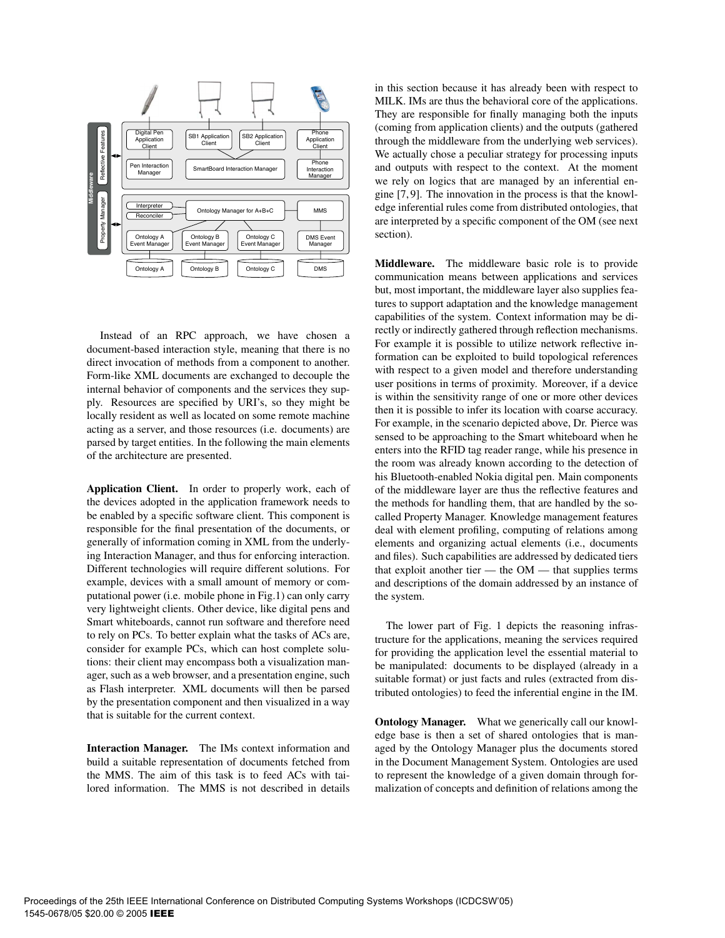

Instead of an RPC approach, we have chosen a document-based interaction style, meaning that there is no direct invocation of methods from a component to another. Form-like XML documents are exchanged to decouple the internal behavior of components and the services they supply. Resources are specified by URI's, so they might be locally resident as well as located on some remote machine acting as a server, and those resources (i.e. documents) are parsed by target entities. In the following the main elements of the architecture are presented.

**Application Client.** In order to properly work, each of the devices adopted in the application framework needs to be enabled by a specific software client. This component is responsible for the final presentation of the documents, or generally of information coming in XML from the underlying Interaction Manager, and thus for enforcing interaction. Different technologies will require different solutions. For example, devices with a small amount of memory or computational power (i.e. mobile phone in Fig.1) can only carry very lightweight clients. Other device, like digital pens and Smart whiteboards, cannot run software and therefore need to rely on PCs. To better explain what the tasks of ACs are, consider for example PCs, which can host complete solutions: their client may encompass both a visualization manager, such as a web browser, and a presentation engine, such as Flash interpreter. XML documents will then be parsed by the presentation component and then visualized in a way that is suitable for the current context.

**Interaction Manager.** The IMs context information and build a suitable representation of documents fetched from the MMS. The aim of this task is to feed ACs with tailored information. The MMS is not described in details

in this section because it has already been with respect to MILK. IMs are thus the behavioral core of the applications. They are responsible for finally managing both the inputs (coming from application clients) and the outputs (gathered through the middleware from the underlying web services). We actually chose a peculiar strategy for processing inputs and outputs with respect to the context. At the moment we rely on logics that are managed by an inferential engine [7, 9]. The innovation in the process is that the knowledge inferential rules come from distributed ontologies, that are interpreted by a specific component of the OM (see next section).

**Middleware.** The middleware basic role is to provide communication means between applications and services but, most important, the middleware layer also supplies features to support adaptation and the knowledge management capabilities of the system. Context information may be directly or indirectly gathered through reflection mechanisms. For example it is possible to utilize network reflective information can be exploited to build topological references with respect to a given model and therefore understanding user positions in terms of proximity. Moreover, if a device is within the sensitivity range of one or more other devices then it is possible to infer its location with coarse accuracy. For example, in the scenario depicted above, Dr. Pierce was sensed to be approaching to the Smart whiteboard when he enters into the RFID tag reader range, while his presence in the room was already known according to the detection of his Bluetooth-enabled Nokia digital pen. Main components of the middleware layer are thus the reflective features and the methods for handling them, that are handled by the socalled Property Manager. Knowledge management features deal with element profiling, computing of relations among elements and organizing actual elements (i.e., documents and files). Such capabilities are addressed by dedicated tiers that exploit another tier — the OM — that supplies terms and descriptions of the domain addressed by an instance of the system.

The lower part of Fig. 1 depicts the reasoning infrastructure for the applications, meaning the services required for providing the application level the essential material to be manipulated: documents to be displayed (already in a suitable format) or just facts and rules (extracted from distributed ontologies) to feed the inferential engine in the IM.

**Ontology Manager.** What we generically call our knowledge base is then a set of shared ontologies that is managed by the Ontology Manager plus the documents stored in the Document Management System. Ontologies are used to represent the knowledge of a given domain through formalization of concepts and definition of relations among the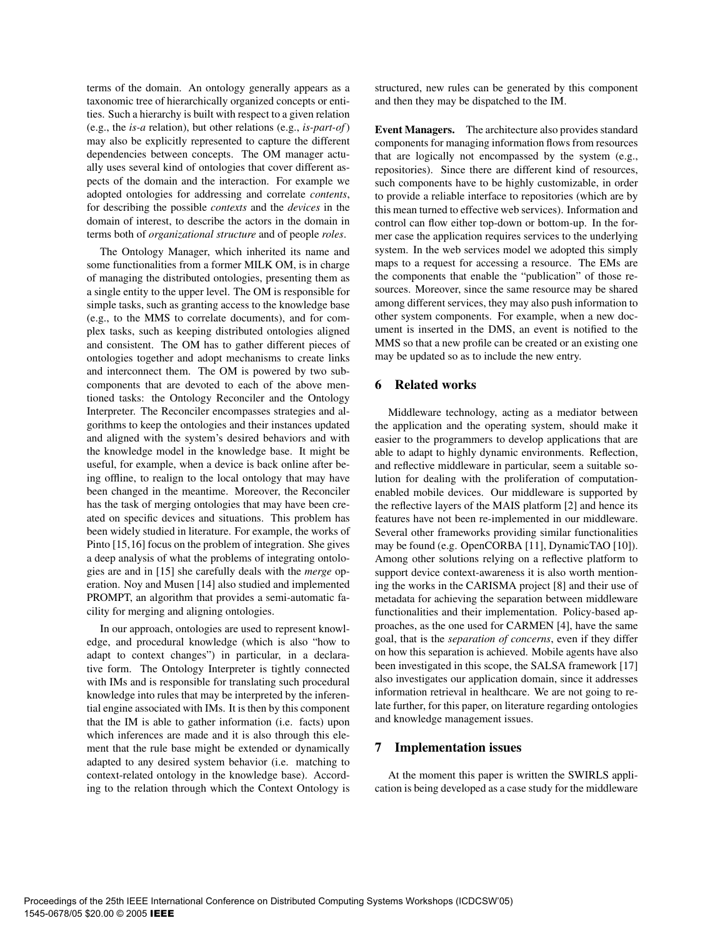terms of the domain. An ontology generally appears as a taxonomic tree of hierarchically organized concepts or entities. Such a hierarchy is built with respect to a given relation (e.g., the *is-a* relation), but other relations (e.g., *is-part-of*) may also be explicitly represented to capture the different dependencies between concepts. The OM manager actually uses several kind of ontologies that cover different aspects of the domain and the interaction. For example we adopted ontologies for addressing and correlate *contents*, for describing the possible *contexts* and the *devices* in the domain of interest, to describe the actors in the domain in terms both of *organizational structure* and of people *roles*.

The Ontology Manager, which inherited its name and some functionalities from a former MILK OM, is in charge of managing the distributed ontologies, presenting them as a single entity to the upper level. The OM is responsible for simple tasks, such as granting access to the knowledge base (e.g., to the MMS to correlate documents), and for complex tasks, such as keeping distributed ontologies aligned and consistent. The OM has to gather different pieces of ontologies together and adopt mechanisms to create links and interconnect them. The OM is powered by two subcomponents that are devoted to each of the above mentioned tasks: the Ontology Reconciler and the Ontology Interpreter. The Reconciler encompasses strategies and algorithms to keep the ontologies and their instances updated and aligned with the system's desired behaviors and with the knowledge model in the knowledge base. It might be useful, for example, when a device is back online after being offline, to realign to the local ontology that may have been changed in the meantime. Moreover, the Reconciler has the task of merging ontologies that may have been created on specific devices and situations. This problem has been widely studied in literature. For example, the works of Pinto [15,16] focus on the problem of integration. She gives a deep analysis of what the problems of integrating ontologies are and in [15] she carefully deals with the *merge* operation. Noy and Musen [14] also studied and implemented PROMPT, an algorithm that provides a semi-automatic facility for merging and aligning ontologies.

In our approach, ontologies are used to represent knowledge, and procedural knowledge (which is also "how to adapt to context changes") in particular, in a declarative form. The Ontology Interpreter is tightly connected with IMs and is responsible for translating such procedural knowledge into rules that may be interpreted by the inferential engine associated with IMs. It is then by this component that the IM is able to gather information (i.e. facts) upon which inferences are made and it is also through this element that the rule base might be extended or dynamically adapted to any desired system behavior (i.e. matching to context-related ontology in the knowledge base). According to the relation through which the Context Ontology is structured, new rules can be generated by this component and then they may be dispatched to the IM.

**Event Managers.** The architecture also provides standard components for managing information flows from resources that are logically not encompassed by the system (e.g., repositories). Since there are different kind of resources, such components have to be highly customizable, in order to provide a reliable interface to repositories (which are by this mean turned to effective web services). Information and control can flow either top-down or bottom-up. In the former case the application requires services to the underlying system. In the web services model we adopted this simply maps to a request for accessing a resource. The EMs are the components that enable the "publication" of those resources. Moreover, since the same resource may be shared among different services, they may also push information to other system components. For example, when a new document is inserted in the DMS, an event is notified to the MMS so that a new profile can be created or an existing one may be updated so as to include the new entry.

## **6 Related works**

Middleware technology, acting as a mediator between the application and the operating system, should make it easier to the programmers to develop applications that are able to adapt to highly dynamic environments. Reflection, and reflective middleware in particular, seem a suitable solution for dealing with the proliferation of computationenabled mobile devices. Our middleware is supported by the reflective layers of the MAIS platform [2] and hence its features have not been re-implemented in our middleware. Several other frameworks providing similar functionalities may be found (e.g. OpenCORBA [11], DynamicTAO [10]). Among other solutions relying on a reflective platform to support device context-awareness it is also worth mentioning the works in the CARISMA project [8] and their use of metadata for achieving the separation between middleware functionalities and their implementation. Policy-based approaches, as the one used for CARMEN [4], have the same goal, that is the *separation of concerns*, even if they differ on how this separation is achieved. Mobile agents have also been investigated in this scope, the SALSA framework [17] also investigates our application domain, since it addresses information retrieval in healthcare. We are not going to relate further, for this paper, on literature regarding ontologies and knowledge management issues.

#### **7 Implementation issues**

At the moment this paper is written the SWIRLS application is being developed as a case study for the middleware